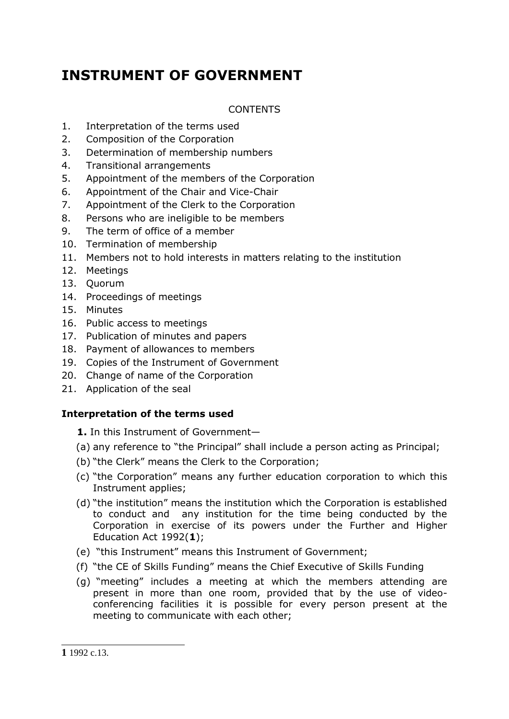# **INSTRUMENT OF GOVERNMENT**

# CONTENTS

- 1. Interpretation of the terms used
- 2. Composition of the Corporation
- 3. Determination of membership numbers
- 4. Transitional arrangements
- 5. Appointment of the members of the Corporation
- 6. Appointment of the Chair and Vice-Chair
- 7. Appointment of the Clerk to the Corporation
- 8. Persons who are ineligible to be members
- 9. The term of office of a member
- 10. Termination of membership
- 11. Members not to hold interests in matters relating to the institution
- 12. Meetings
- 13. Quorum
- 14. Proceedings of meetings
- 15. Minutes
- 16. Public access to meetings
- 17. Publication of minutes and papers
- 18. Payment of allowances to members
- 19. Copies of the Instrument of Government
- 20. Change of name of the Corporation
- 21. Application of the seal

# **Interpretation of the terms used**

- **1.** In this Instrument of Government—
- (a) any reference to "the Principal" shall include a person acting as Principal;
- (b) "the Clerk" means the Clerk to the Corporation;
- (c) "the Corporation" means any further education corporation to which this Instrument applies;
- (d) "the institution" means the institution which the Corporation is established to conduct and any institution for the time being conducted by the Corporation in exercise of its powers under the Further and Higher Education Act 1992(**1**);
- (e) "this Instrument" means this Instrument of Government;
- (f) "the CE of Skills Funding" means the Chief Executive of Skills Funding
- (g) "meeting" includes a meeting at which the members attending are present in more than one room, provided that by the use of videoconferencing facilities it is possible for every person present at the meeting to communicate with each other;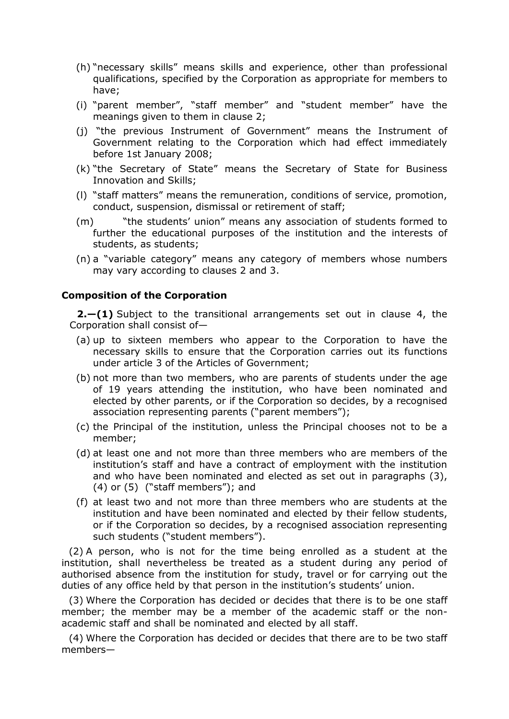- (h) "necessary skills" means skills and experience, other than professional qualifications, specified by the Corporation as appropriate for members to have;
- (i) "parent member", "staff member" and "student member" have the meanings given to them in clause 2;
- (j) "the previous Instrument of Government" means the Instrument of Government relating to the Corporation which had effect immediately before 1st January 2008;
- (k) "the Secretary of State" means the Secretary of State for Business Innovation and Skills;
- (l) "staff matters" means the remuneration, conditions of service, promotion, conduct, suspension, dismissal or retirement of staff;
- (m) "the students' union" means any association of students formed to further the educational purposes of the institution and the interests of students, as students;
- (n) a "variable category" means any category of members whose numbers may vary according to clauses 2 and 3.

# **Composition of the Corporation**

**2.—(1)** Subject to the transitional arrangements set out in clause 4, the Corporation shall consist of—

- (a) up to sixteen members who appear to the Corporation to have the necessary skills to ensure that the Corporation carries out its functions under article 3 of the Articles of Government;
- (b) not more than two members, who are parents of students under the age of 19 years attending the institution, who have been nominated and elected by other parents, or if the Corporation so decides, by a recognised association representing parents ("parent members");
- (c) the Principal of the institution, unless the Principal chooses not to be a member;
- (d) at least one and not more than three members who are members of the institution's staff and have a contract of employment with the institution and who have been nominated and elected as set out in paragraphs (3), (4) or (5) ("staff members"); and
- (f) at least two and not more than three members who are students at the institution and have been nominated and elected by their fellow students, or if the Corporation so decides, by a recognised association representing such students ("student members").

(2) A person, who is not for the time being enrolled as a student at the institution, shall nevertheless be treated as a student during any period of authorised absence from the institution for study, travel or for carrying out the duties of any office held by that person in the institution's students' union.

(3) Where the Corporation has decided or decides that there is to be one staff member; the member may be a member of the academic staff or the nonacademic staff and shall be nominated and elected by all staff.

(4) Where the Corporation has decided or decides that there are to be two staff members—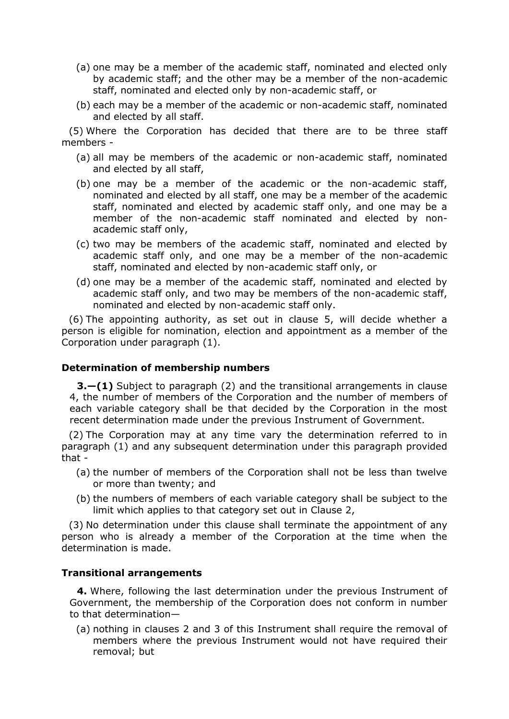- (a) one may be a member of the academic staff, nominated and elected only by academic staff; and the other may be a member of the non-academic staff, nominated and elected only by non-academic staff, or
- (b) each may be a member of the academic or non-academic staff, nominated and elected by all staff.

(5) Where the Corporation has decided that there are to be three staff members -

- (a) all may be members of the academic or non-academic staff, nominated and elected by all staff,
- (b) one may be a member of the academic or the non-academic staff, nominated and elected by all staff, one may be a member of the academic staff, nominated and elected by academic staff only, and one may be a member of the non-academic staff nominated and elected by nonacademic staff only,
- (c) two may be members of the academic staff, nominated and elected by academic staff only, and one may be a member of the non-academic staff, nominated and elected by non-academic staff only, or
- (d) one may be a member of the academic staff, nominated and elected by academic staff only, and two may be members of the non-academic staff, nominated and elected by non-academic staff only.

(6) The appointing authority, as set out in clause 5, will decide whether a person is eligible for nomination, election and appointment as a member of the Corporation under paragraph (1).

# **Determination of membership numbers**

**3.—(1)** Subject to paragraph (2) and the transitional arrangements in clause 4, the number of members of the Corporation and the number of members of each variable category shall be that decided by the Corporation in the most recent determination made under the previous Instrument of Government.

(2) The Corporation may at any time vary the determination referred to in paragraph (1) and any subsequent determination under this paragraph provided that -

- (a) the number of members of the Corporation shall not be less than twelve or more than twenty; and
- (b) the numbers of members of each variable category shall be subject to the limit which applies to that category set out in Clause 2,

(3) No determination under this clause shall terminate the appointment of any person who is already a member of the Corporation at the time when the determination is made.

# **Transitional arrangements**

**4.** Where, following the last determination under the previous Instrument of Government, the membership of the Corporation does not conform in number to that determination—

(a) nothing in clauses 2 and 3 of this Instrument shall require the removal of members where the previous Instrument would not have required their removal; but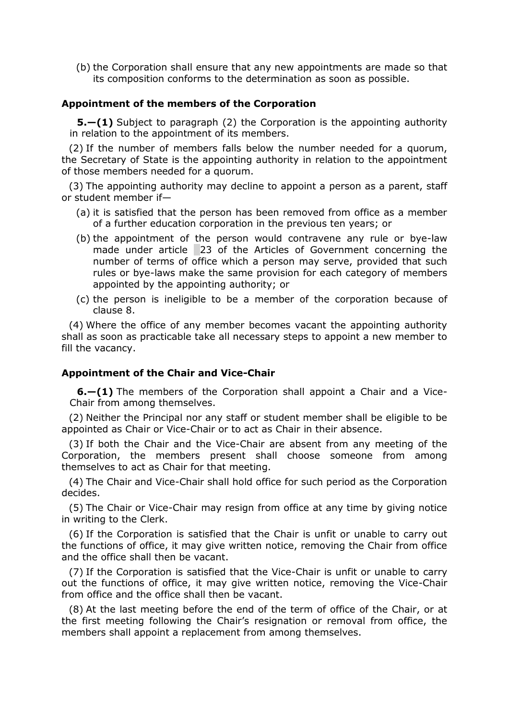(b) the Corporation shall ensure that any new appointments are made so that its composition conforms to the determination as soon as possible.

#### **Appointment of the members of the Corporation**

**5.—(1)** Subject to paragraph (2) the Corporation is the appointing authority in relation to the appointment of its members.

(2) If the number of members falls below the number needed for a quorum, the Secretary of State is the appointing authority in relation to the appointment of those members needed for a quorum.

(3) The appointing authority may decline to appoint a person as a parent, staff or student member if—

- (a) it is satisfied that the person has been removed from office as a member of a further education corporation in the previous ten years; or
- (b) the appointment of the person would contravene any rule or bye-law made under article 23 of the Articles of Government concerning the number of terms of office which a person may serve, provided that such rules or bye-laws make the same provision for each category of members appointed by the appointing authority; or
- (c) the person is ineligible to be a member of the corporation because of clause 8.

(4) Where the office of any member becomes vacant the appointing authority shall as soon as practicable take all necessary steps to appoint a new member to fill the vacancy.

#### **Appointment of the Chair and Vice-Chair**

**6.—(1)** The members of the Corporation shall appoint a Chair and a Vice-Chair from among themselves.

(2) Neither the Principal nor any staff or student member shall be eligible to be appointed as Chair or Vice-Chair or to act as Chair in their absence.

(3) If both the Chair and the Vice-Chair are absent from any meeting of the Corporation, the members present shall choose someone from among themselves to act as Chair for that meeting.

(4) The Chair and Vice-Chair shall hold office for such period as the Corporation decides.

(5) The Chair or Vice-Chair may resign from office at any time by giving notice in writing to the Clerk.

(6) If the Corporation is satisfied that the Chair is unfit or unable to carry out the functions of office, it may give written notice, removing the Chair from office and the office shall then be vacant.

(7) If the Corporation is satisfied that the Vice-Chair is unfit or unable to carry out the functions of office, it may give written notice, removing the Vice-Chair from office and the office shall then be vacant.

(8) At the last meeting before the end of the term of office of the Chair, or at the first meeting following the Chair's resignation or removal from office, the members shall appoint a replacement from among themselves.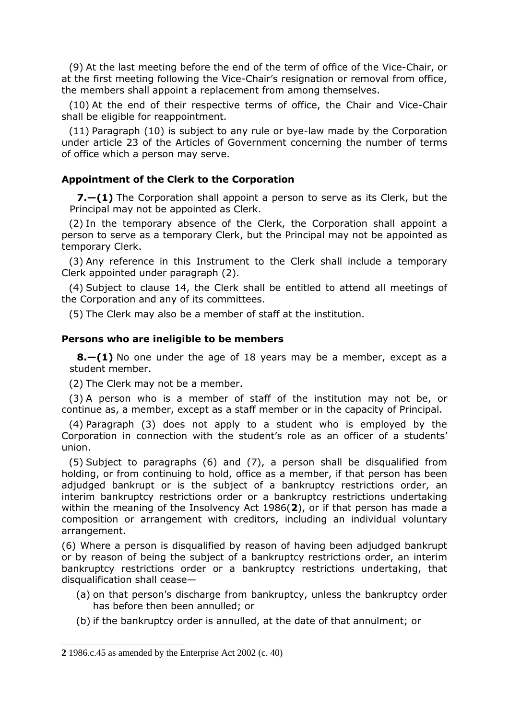(9) At the last meeting before the end of the term of office of the Vice-Chair, or at the first meeting following the Vice-Chair's resignation or removal from office, the members shall appoint a replacement from among themselves.

(10) At the end of their respective terms of office, the Chair and Vice-Chair shall be eligible for reappointment.

(11) Paragraph (10) is subject to any rule or bye-law made by the Corporation under article 23 of the Articles of Government concerning the number of terms of office which a person may serve.

# **Appointment of the Clerk to the Corporation**

**7.—(1)** The Corporation shall appoint a person to serve as its Clerk, but the Principal may not be appointed as Clerk.

(2) In the temporary absence of the Clerk, the Corporation shall appoint a person to serve as a temporary Clerk, but the Principal may not be appointed as temporary Clerk.

(3) Any reference in this Instrument to the Clerk shall include a temporary Clerk appointed under paragraph (2).

(4) Subject to clause 14, the Clerk shall be entitled to attend all meetings of the Corporation and any of its committees.

(5) The Clerk may also be a member of staff at the institution.

#### **Persons who are ineligible to be members**

**8.—(1)** No one under the age of 18 years may be a member, except as a student member.

(2) The Clerk may not be a member.

(3) A person who is a member of staff of the institution may not be, or continue as, a member, except as a staff member or in the capacity of Principal.

(4) Paragraph (3) does not apply to a student who is employed by the Corporation in connection with the student's role as an officer of a students' union.

(5) Subject to paragraphs (6) and (7), a person shall be disqualified from holding, or from continuing to hold, office as a member, if that person has been adjudged bankrupt or is the subject of a bankruptcy restrictions order, an interim bankruptcy restrictions order or a bankruptcy restrictions undertaking within the meaning of the Insolvency Act 1986(**2**), or if that person has made a composition or arrangement with creditors, including an individual voluntary arrangement.

(6) Where a person is disqualified by reason of having been adjudged bankrupt or by reason of being the subject of a bankruptcy restrictions order, an interim bankruptcy restrictions order or a bankruptcy restrictions undertaking, that disqualification shall cease—

- (a) on that person's discharge from bankruptcy, unless the bankruptcy order has before then been annulled; or
- (b) if the bankruptcy order is annulled, at the date of that annulment; or

<sup>&</sup>lt;u>.</u> **2** 1986.c.45 as amended by the Enterprise Act 2002 (c. 40)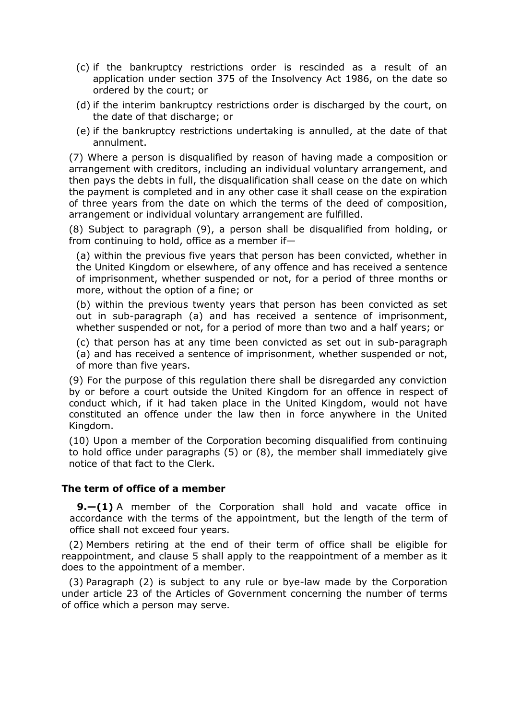- (c) if the bankruptcy restrictions order is rescinded as a result of an application under section 375 of the Insolvency Act 1986, on the date so ordered by the court; or
- (d) if the interim bankruptcy restrictions order is discharged by the court, on the date of that discharge; or
- (e) if the bankruptcy restrictions undertaking is annulled, at the date of that annulment.

(7) Where a person is disqualified by reason of having made a composition or arrangement with creditors, including an individual voluntary arrangement, and then pays the debts in full, the disqualification shall cease on the date on which the payment is completed and in any other case it shall cease on the expiration of three years from the date on which the terms of the deed of composition, arrangement or individual voluntary arrangement are fulfilled.

(8) Subject to paragraph (9), a person shall be disqualified from holding, or from continuing to hold, office as a member if—

(a) within the previous five years that person has been convicted, whether in the United Kingdom or elsewhere, of any offence and has received a sentence of imprisonment, whether suspended or not, for a period of three months or more, without the option of a fine; or

(b) within the previous twenty years that person has been convicted as set out in sub-paragraph (a) and has received a sentence of imprisonment, whether suspended or not, for a period of more than two and a half years; or

(c) that person has at any time been convicted as set out in sub-paragraph

(a) and has received a sentence of imprisonment, whether suspended or not, of more than five years.

(9) For the purpose of this regulation there shall be disregarded any conviction by or before a court outside the United Kingdom for an offence in respect of conduct which, if it had taken place in the United Kingdom, would not have constituted an offence under the law then in force anywhere in the United Kingdom.

(10) Upon a member of the Corporation becoming disqualified from continuing to hold office under paragraphs (5) or (8), the member shall immediately give notice of that fact to the Clerk.

#### **The term of office of a member**

**9.—(1)** A member of the Corporation shall hold and vacate office in accordance with the terms of the appointment, but the length of the term of office shall not exceed four years.

(2) Members retiring at the end of their term of office shall be eligible for reappointment, and clause 5 shall apply to the reappointment of a member as it does to the appointment of a member.

(3) Paragraph (2) is subject to any rule or bye-law made by the Corporation under article 23 of the Articles of Government concerning the number of terms of office which a person may serve.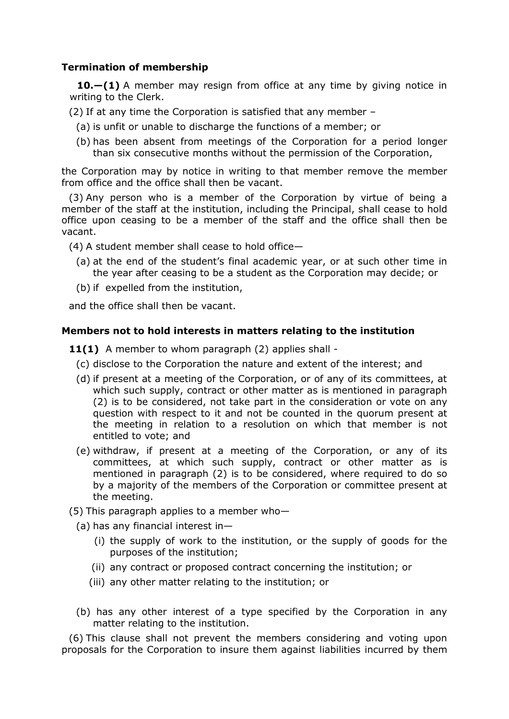# **Termination of membership**

**10.—(1)** A member may resign from office at any time by giving notice in writing to the Clerk.

- (2) If at any time the Corporation is satisfied that any member
	- (a) is unfit or unable to discharge the functions of a member; or
	- (b) has been absent from meetings of the Corporation for a period longer than six consecutive months without the permission of the Corporation,

the Corporation may by notice in writing to that member remove the member from office and the office shall then be vacant.

(3) Any person who is a member of the Corporation by virtue of being a member of the staff at the institution, including the Principal, shall cease to hold office upon ceasing to be a member of the staff and the office shall then be vacant.

(4) A student member shall cease to hold office—

- (a) at the end of the student's final academic year, or at such other time in the year after ceasing to be a student as the Corporation may decide; or
- (b) if expelled from the institution,

and the office shall then be vacant.

# **Members not to hold interests in matters relating to the institution**

11(1) A member to whom paragraph (2) applies shall -

- (c) disclose to the Corporation the nature and extent of the interest; and
- (d) if present at a meeting of the Corporation, or of any of its committees, at which such supply, contract or other matter as is mentioned in paragraph (2) is to be considered, not take part in the consideration or vote on any question with respect to it and not be counted in the quorum present at the meeting in relation to a resolution on which that member is not entitled to vote; and
- (e) withdraw, if present at a meeting of the Corporation, or any of its committees, at which such supply, contract or other matter as is mentioned in paragraph (2) is to be considered, where required to do so by a majority of the members of the Corporation or committee present at the meeting.

(5) This paragraph applies to a member who-

- (a) has any financial interest in—
	- (i) the supply of work to the institution, or the supply of goods for the purposes of the institution;
	- (ii) any contract or proposed contract concerning the institution; or
	- (iii) any other matter relating to the institution; or
- (b) has any other interest of a type specified by the Corporation in any matter relating to the institution.

(6) This clause shall not prevent the members considering and voting upon proposals for the Corporation to insure them against liabilities incurred by them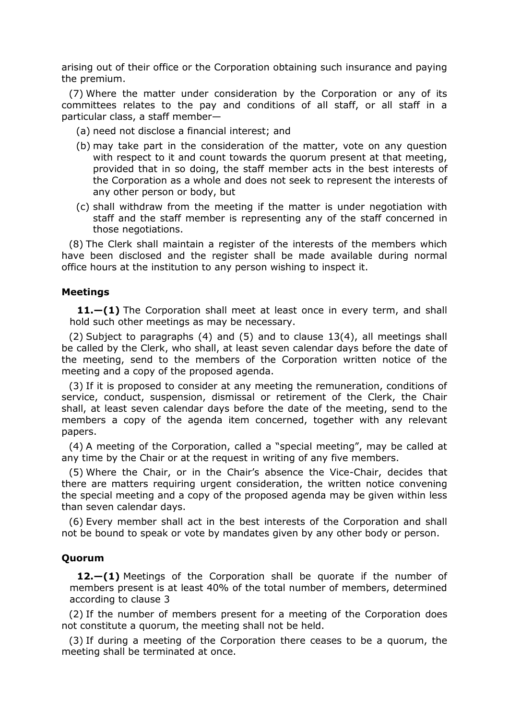arising out of their office or the Corporation obtaining such insurance and paying the premium.

(7) Where the matter under consideration by the Corporation or any of its committees relates to the pay and conditions of all staff, or all staff in a particular class, a staff member—

- (a) need not disclose a financial interest; and
- (b) may take part in the consideration of the matter, vote on any question with respect to it and count towards the quorum present at that meeting, provided that in so doing, the staff member acts in the best interests of the Corporation as a whole and does not seek to represent the interests of any other person or body, but
- (c) shall withdraw from the meeting if the matter is under negotiation with staff and the staff member is representing any of the staff concerned in those negotiations.

(8) The Clerk shall maintain a register of the interests of the members which have been disclosed and the register shall be made available during normal office hours at the institution to any person wishing to inspect it.

#### **Meetings**

**11.—(1)** The Corporation shall meet at least once in every term, and shall hold such other meetings as may be necessary.

(2) Subject to paragraphs (4) and (5) and to clause 13(4), all meetings shall be called by the Clerk, who shall, at least seven calendar days before the date of the meeting, send to the members of the Corporation written notice of the meeting and a copy of the proposed agenda.

(3) If it is proposed to consider at any meeting the remuneration, conditions of service, conduct, suspension, dismissal or retirement of the Clerk, the Chair shall, at least seven calendar days before the date of the meeting, send to the members a copy of the agenda item concerned, together with any relevant papers.

(4) A meeting of the Corporation, called a "special meeting", may be called at any time by the Chair or at the request in writing of any five members.

(5) Where the Chair, or in the Chair's absence the Vice-Chair, decides that there are matters requiring urgent consideration, the written notice convening the special meeting and a copy of the proposed agenda may be given within less than seven calendar days.

(6) Every member shall act in the best interests of the Corporation and shall not be bound to speak or vote by mandates given by any other body or person.

#### **Quorum**

**12.—(1)** Meetings of the Corporation shall be quorate if the number of members present is at least 40% of the total number of members, determined according to clause 3

(2) If the number of members present for a meeting of the Corporation does not constitute a quorum, the meeting shall not be held.

(3) If during a meeting of the Corporation there ceases to be a quorum, the meeting shall be terminated at once.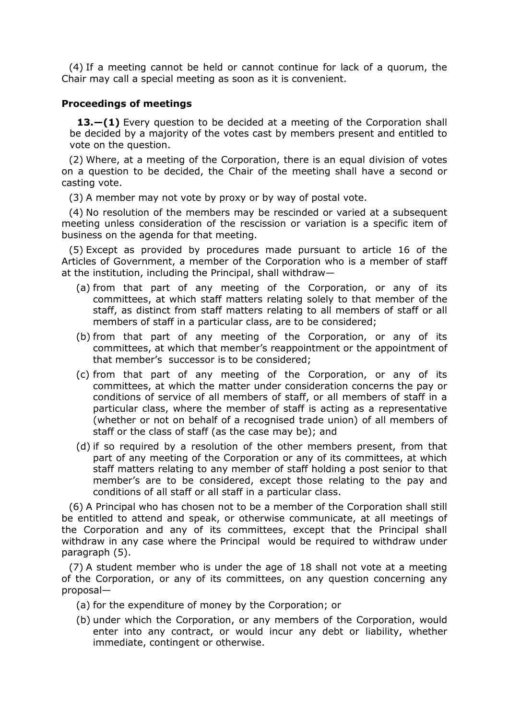(4) If a meeting cannot be held or cannot continue for lack of a quorum, the Chair may call a special meeting as soon as it is convenient.

#### **Proceedings of meetings**

**13.—(1)** Every question to be decided at a meeting of the Corporation shall be decided by a majority of the votes cast by members present and entitled to vote on the question.

(2) Where, at a meeting of the Corporation, there is an equal division of votes on a question to be decided, the Chair of the meeting shall have a second or casting vote.

(3) A member may not vote by proxy or by way of postal vote.

(4) No resolution of the members may be rescinded or varied at a subsequent meeting unless consideration of the rescission or variation is a specific item of business on the agenda for that meeting.

(5) Except as provided by procedures made pursuant to article 16 of the Articles of Government, a member of the Corporation who is a member of staff at the institution, including the Principal, shall withdraw—

- (a) from that part of any meeting of the Corporation, or any of its committees, at which staff matters relating solely to that member of the staff, as distinct from staff matters relating to all members of staff or all members of staff in a particular class, are to be considered;
- (b) from that part of any meeting of the Corporation, or any of its committees, at which that member's reappointment or the appointment of that member's successor is to be considered;
- (c) from that part of any meeting of the Corporation, or any of its committees, at which the matter under consideration concerns the pay or conditions of service of all members of staff, or all members of staff in a particular class, where the member of staff is acting as a representative (whether or not on behalf of a recognised trade union) of all members of staff or the class of staff (as the case may be); and
- (d) if so required by a resolution of the other members present, from that part of any meeting of the Corporation or any of its committees, at which staff matters relating to any member of staff holding a post senior to that member's are to be considered, except those relating to the pay and conditions of all staff or all staff in a particular class.

(6) A Principal who has chosen not to be a member of the Corporation shall still be entitled to attend and speak, or otherwise communicate, at all meetings of the Corporation and any of its committees, except that the Principal shall withdraw in any case where the Principal would be required to withdraw under paragraph (5).

(7) A student member who is under the age of 18 shall not vote at a meeting of the Corporation, or any of its committees, on any question concerning any proposal—

- (a) for the expenditure of money by the Corporation; or
- (b) under which the Corporation, or any members of the Corporation, would enter into any contract, or would incur any debt or liability, whether immediate, contingent or otherwise.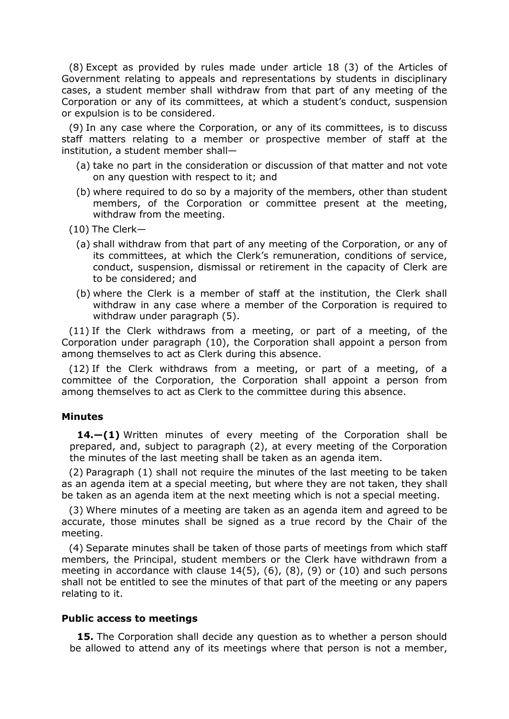(8) Except as provided by rules made under article 18 (3) of the Articles of Government relating to appeals and representations by students in disciplinary cases, a student member shall withdraw from that part of any meeting of the Corporation or any of its committees, at which a student's conduct, suspension or expulsion is to be considered.

(9) In any case where the Corporation, or any of its committees, is to discuss staff matters relating to a member or prospective member of staff at the institution, a student member shall—

- (a) take no part in the consideration or discussion of that matter and not vote on any question with respect to it; and
- (b) where required to do so by a majority of the members, other than student members, of the Corporation or committee present at the meeting, withdraw from the meeting.
- (10) The Clerk—
	- (a) shall withdraw from that part of any meeting of the Corporation, or any of its committees, at which the Clerk's remuneration, conditions of service, conduct, suspension, dismissal or retirement in the capacity of Clerk are to be considered; and
	- (b) where the Clerk is a member of staff at the institution, the Clerk shall withdraw in any case where a member of the Corporation is required to withdraw under paragraph (5).

(11) If the Clerk withdraws from a meeting, or part of a meeting, of the Corporation under paragraph (10), the Corporation shall appoint a person from among themselves to act as Clerk during this absence.

(12) If the Clerk withdraws from a meeting, or part of a meeting, of a committee of the Corporation, the Corporation shall appoint a person from among themselves to act as Clerk to the committee during this absence.

#### **Minutes**

**14.—(1)** Written minutes of every meeting of the Corporation shall be prepared, and, subject to paragraph (2), at every meeting of the Corporation the minutes of the last meeting shall be taken as an agenda item.

(2) Paragraph (1) shall not require the minutes of the last meeting to be taken as an agenda item at a special meeting, but where they are not taken, they shall be taken as an agenda item at the next meeting which is not a special meeting.

(3) Where minutes of a meeting are taken as an agenda item and agreed to be accurate, those minutes shall be signed as a true record by the Chair of the meeting.

(4) Separate minutes shall be taken of those parts of meetings from which staff members, the Principal, student members or the Clerk have withdrawn from a meeting in accordance with clause 14(5), (6), (8), (9) or (10) and such persons shall not be entitled to see the minutes of that part of the meeting or any papers relating to it.

#### **Public access to meetings**

**15.** The Corporation shall decide any question as to whether a person should be allowed to attend any of its meetings where that person is not a member,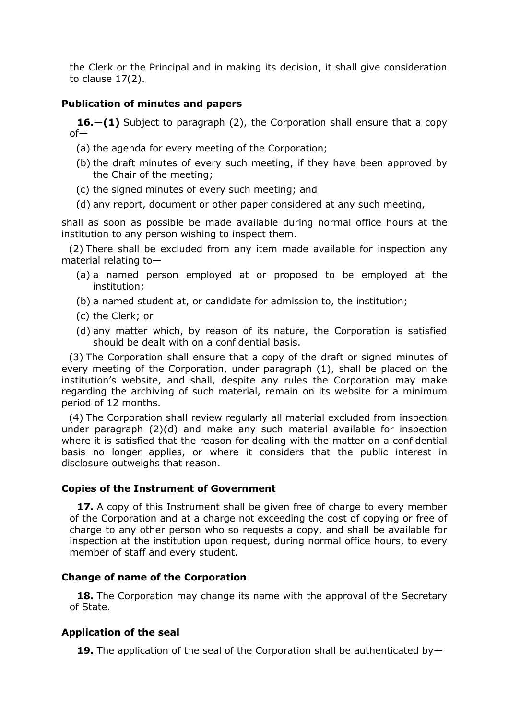the Clerk or the Principal and in making its decision, it shall give consideration to clause 17(2).

#### **Publication of minutes and papers**

**16.—(1)** Subject to paragraph (2), the Corporation shall ensure that a copy of—

- (a) the agenda for every meeting of the Corporation;
- (b) the draft minutes of every such meeting, if they have been approved by the Chair of the meeting;
- (c) the signed minutes of every such meeting; and
- (d) any report, document or other paper considered at any such meeting,

shall as soon as possible be made available during normal office hours at the institution to any person wishing to inspect them.

(2) There shall be excluded from any item made available for inspection any material relating to—

- (a) a named person employed at or proposed to be employed at the institution;
- (b) a named student at, or candidate for admission to, the institution;
- (c) the Clerk; or
- (d) any matter which, by reason of its nature, the Corporation is satisfied should be dealt with on a confidential basis.

(3) The Corporation shall ensure that a copy of the draft or signed minutes of every meeting of the Corporation, under paragraph (1), shall be placed on the institution's website, and shall, despite any rules the Corporation may make regarding the archiving of such material, remain on its website for a minimum period of 12 months.

(4) The Corporation shall review regularly all material excluded from inspection under paragraph (2)(d) and make any such material available for inspection where it is satisfied that the reason for dealing with the matter on a confidential basis no longer applies, or where it considers that the public interest in disclosure outweighs that reason.

#### **Copies of the Instrument of Government**

**17.** A copy of this Instrument shall be given free of charge to every member of the Corporation and at a charge not exceeding the cost of copying or free of charge to any other person who so requests a copy, and shall be available for inspection at the institution upon request, during normal office hours, to every member of staff and every student.

#### **Change of name of the Corporation**

**18.** The Corporation may change its name with the approval of the Secretary of State.

#### **Application of the seal**

**19.** The application of the seal of the Corporation shall be authenticated by—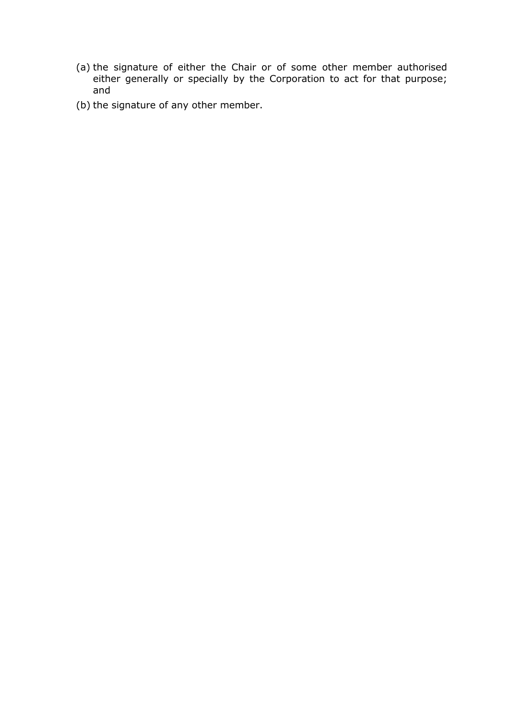- (a) the signature of either the Chair or of some other member authorised either generally or specially by the Corporation to act for that purpose; and
- (b) the signature of any other member.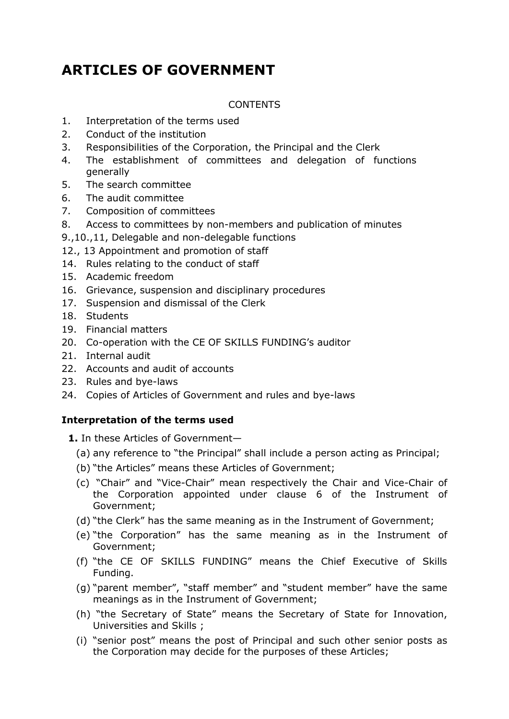# **ARTICLES OF GOVERNMENT**

# CONTENTS

- 1. Interpretation of the terms used
- 2. Conduct of the institution
- 3. Responsibilities of the Corporation, the Principal and the Clerk
- 4. The establishment of committees and delegation of functions generally
- 5. The search committee
- 6. The audit committee
- 7. Composition of committees
- 8. Access to committees by non-members and publication of minutes
- 9.,10.,11, Delegable and non-delegable functions
- 12., 13 Appointment and promotion of staff
- 14. Rules relating to the conduct of staff
- 15. Academic freedom
- 16. Grievance, suspension and disciplinary procedures
- 17. Suspension and dismissal of the Clerk
- 18. Students
- 19. Financial matters
- 20. Co-operation with the CE OF SKILLS FUNDING's auditor
- 21. Internal audit
- 22. Accounts and audit of accounts
- 23. Rules and bye-laws
- 24. Copies of Articles of Government and rules and bye-laws

# **Interpretation of the terms used**

- **1.** In these Articles of Government—
	- (a) any reference to "the Principal" shall include a person acting as Principal;
	- (b) "the Articles" means these Articles of Government;
	- (c) "Chair" and "Vice-Chair" mean respectively the Chair and Vice-Chair of the Corporation appointed under clause 6 of the Instrument of Government;
	- (d) "the Clerk" has the same meaning as in the Instrument of Government;
	- (e) "the Corporation" has the same meaning as in the Instrument of Government;
	- (f) "the CE OF SKILLS FUNDING" means the Chief Executive of Skills Funding.
	- (g) "parent member", "staff member" and "student member" have the same meanings as in the Instrument of Government;
	- (h) "the Secretary of State" means the Secretary of State for Innovation, Universities and Skills ;
	- (i) "senior post" means the post of Principal and such other senior posts as the Corporation may decide for the purposes of these Articles;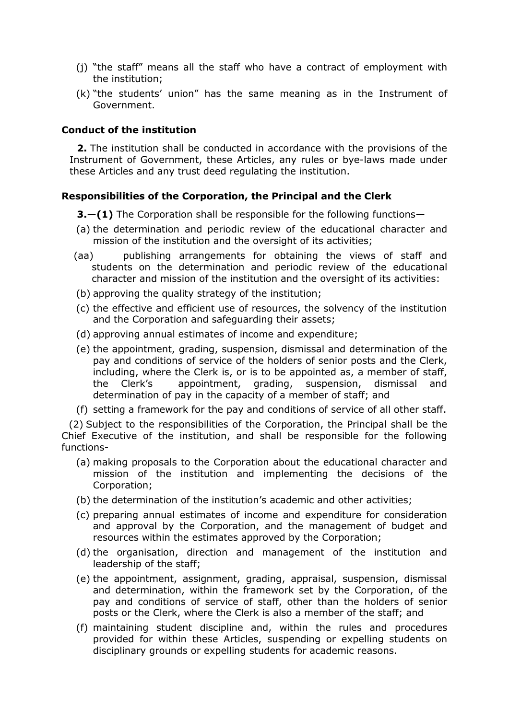- (j) "the staff" means all the staff who have a contract of employment with the institution;
- (k) "the students' union" has the same meaning as in the Instrument of Government.

# **Conduct of the institution**

**2.** The institution shall be conducted in accordance with the provisions of the Instrument of Government, these Articles, any rules or bye-laws made under these Articles and any trust deed regulating the institution.

# **Responsibilities of the Corporation, the Principal and the Clerk**

**3.—(1)** The Corporation shall be responsible for the following functions—

- (a) the determination and periodic review of the educational character and mission of the institution and the oversight of its activities;
- (aa) publishing arrangements for obtaining the views of staff and students on the determination and periodic review of the educational character and mission of the institution and the oversight of its activities:
- (b) approving the quality strategy of the institution;
- (c) the effective and efficient use of resources, the solvency of the institution and the Corporation and safeguarding their assets;
- (d) approving annual estimates of income and expenditure;
- (e) the appointment, grading, suspension, dismissal and determination of the pay and conditions of service of the holders of senior posts and the Clerk, including, where the Clerk is, or is to be appointed as, a member of staff, the Clerk's appointment, grading, suspension, dismissal and determination of pay in the capacity of a member of staff; and
- (f) setting a framework for the pay and conditions of service of all other staff.

(2) Subject to the responsibilities of the Corporation, the Principal shall be the Chief Executive of the institution, and shall be responsible for the following functions-

- (a) making proposals to the Corporation about the educational character and mission of the institution and implementing the decisions of the Corporation;
- (b) the determination of the institution's academic and other activities;
- (c) preparing annual estimates of income and expenditure for consideration and approval by the Corporation, and the management of budget and resources within the estimates approved by the Corporation;
- (d) the organisation, direction and management of the institution and leadership of the staff;
- (e) the appointment, assignment, grading, appraisal, suspension, dismissal and determination, within the framework set by the Corporation, of the pay and conditions of service of staff, other than the holders of senior posts or the Clerk, where the Clerk is also a member of the staff; and
- (f) maintaining student discipline and, within the rules and procedures provided for within these Articles, suspending or expelling students on disciplinary grounds or expelling students for academic reasons.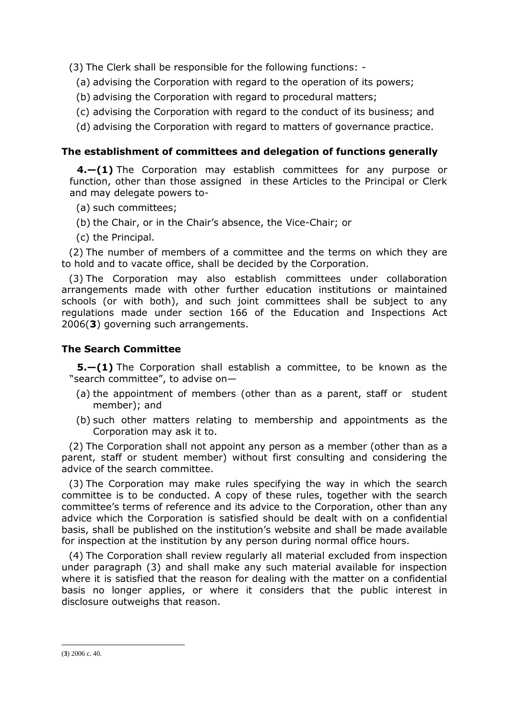(3) The Clerk shall be responsible for the following functions: -

- (a) advising the Corporation with regard to the operation of its powers;
- (b) advising the Corporation with regard to procedural matters;
- (c) advising the Corporation with regard to the conduct of its business; and
- (d) advising the Corporation with regard to matters of governance practice.

# **The establishment of committees and delegation of functions generally**

**4.—(1)** The Corporation may establish committees for any purpose or function, other than those assigned in these Articles to the Principal or Clerk and may delegate powers to-

- (a) such committees;
- (b) the Chair, or in the Chair's absence, the Vice-Chair; or
- (c) the Principal.

(2) The number of members of a committee and the terms on which they are to hold and to vacate office, shall be decided by the Corporation.

(3) The Corporation may also establish committees under collaboration arrangements made with other further education institutions or maintained schools (or with both), and such joint committees shall be subject to any regulations made under section 166 of the Education and Inspections Act 2006(**3**) governing such arrangements.

# **The Search Committee**

**5.—(1)** The Corporation shall establish a committee, to be known as the "search committee", to advise on—

- (a) the appointment of members (other than as a parent, staff or student member); and
- (b) such other matters relating to membership and appointments as the Corporation may ask it to.

(2) The Corporation shall not appoint any person as a member (other than as a parent, staff or student member) without first consulting and considering the advice of the search committee.

(3) The Corporation may make rules specifying the way in which the search committee is to be conducted. A copy of these rules, together with the search committee's terms of reference and its advice to the Corporation, other than any advice which the Corporation is satisfied should be dealt with on a confidential basis, shall be published on the institution's website and shall be made available for inspection at the institution by any person during normal office hours.

(4) The Corporation shall review regularly all material excluded from inspection under paragraph (3) and shall make any such material available for inspection where it is satisfied that the reason for dealing with the matter on a confidential basis no longer applies, or where it considers that the public interest in disclosure outweighs that reason.

<u>.</u>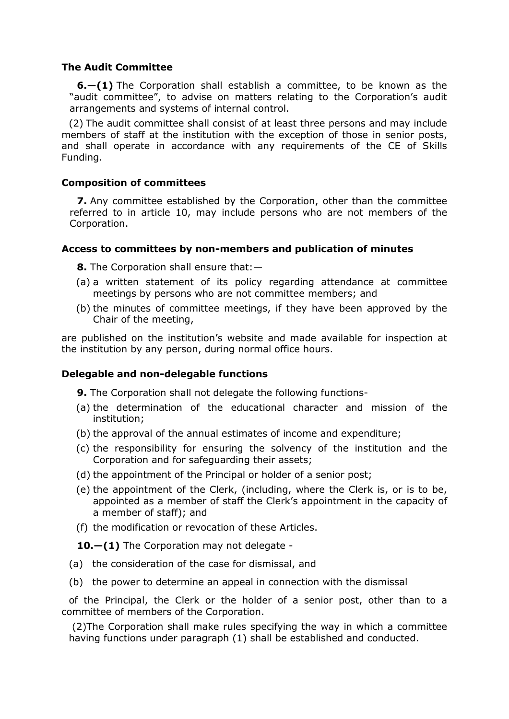# **The Audit Committee**

**6.—(1)** The Corporation shall establish a committee, to be known as the "audit committee", to advise on matters relating to the Corporation's audit arrangements and systems of internal control.

(2) The audit committee shall consist of at least three persons and may include members of staff at the institution with the exception of those in senior posts, and shall operate in accordance with any requirements of the CE of Skills Funding.

# **Composition of committees**

**7.** Any committee established by the Corporation, other than the committee referred to in article 10, may include persons who are not members of the Corporation.

# **Access to committees by non-members and publication of minutes**

**8.** The Corporation shall ensure that:—

- (a) a written statement of its policy regarding attendance at committee meetings by persons who are not committee members; and
- (b) the minutes of committee meetings, if they have been approved by the Chair of the meeting,

are published on the institution's website and made available for inspection at the institution by any person, during normal office hours.

# **Delegable and non-delegable functions**

**9.** The Corporation shall not delegate the following functions-

- (a) the determination of the educational character and mission of the institution;
- (b) the approval of the annual estimates of income and expenditure;
- (c) the responsibility for ensuring the solvency of the institution and the Corporation and for safeguarding their assets;
- (d) the appointment of the Principal or holder of a senior post;
- (e) the appointment of the Clerk, (including, where the Clerk is, or is to be, appointed as a member of staff the Clerk's appointment in the capacity of a member of staff); and
- (f) the modification or revocation of these Articles.

**10.—(1)** The Corporation may not delegate -

- (a) the consideration of the case for dismissal, and
- (b) the power to determine an appeal in connection with the dismissal

of the Principal, the Clerk or the holder of a senior post, other than to a committee of members of the Corporation.

(2)The Corporation shall make rules specifying the way in which a committee having functions under paragraph (1) shall be established and conducted.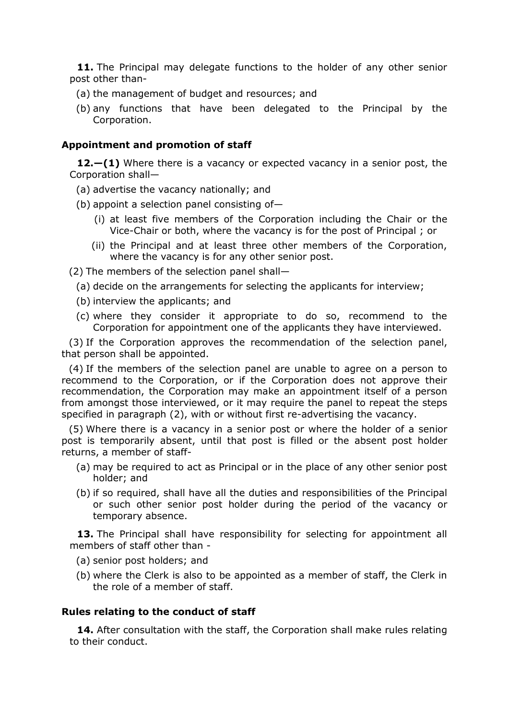**11.** The Principal may delegate functions to the holder of any other senior post other than-

- (a) the management of budget and resources; and
- (b) any functions that have been delegated to the Principal by the Corporation.

# **Appointment and promotion of staff**

**12.—(1)** Where there is a vacancy or expected vacancy in a senior post, the Corporation shall—

- (a) advertise the vacancy nationally; and
- (b) appoint a selection panel consisting of—
	- (i) at least five members of the Corporation including the Chair or the Vice-Chair or both, where the vacancy is for the post of Principal ; or
	- (ii) the Principal and at least three other members of the Corporation, where the vacancy is for any other senior post.

(2) The members of the selection panel shall—

- (a) decide on the arrangements for selecting the applicants for interview;
- (b) interview the applicants; and
- (c) where they consider it appropriate to do so, recommend to the Corporation for appointment one of the applicants they have interviewed.

(3) If the Corporation approves the recommendation of the selection panel, that person shall be appointed.

(4) If the members of the selection panel are unable to agree on a person to recommend to the Corporation, or if the Corporation does not approve their recommendation, the Corporation may make an appointment itself of a person from amongst those interviewed, or it may require the panel to repeat the steps specified in paragraph (2), with or without first re-advertising the vacancy.

(5) Where there is a vacancy in a senior post or where the holder of a senior post is temporarily absent, until that post is filled or the absent post holder returns, a member of staff-

- (a) may be required to act as Principal or in the place of any other senior post holder; and
- (b) if so required, shall have all the duties and responsibilities of the Principal or such other senior post holder during the period of the vacancy or temporary absence.

13. The Principal shall have responsibility for selecting for appointment all members of staff other than -

- (a) senior post holders; and
- (b) where the Clerk is also to be appointed as a member of staff, the Clerk in the role of a member of staff.

#### **Rules relating to the conduct of staff**

**14.** After consultation with the staff, the Corporation shall make rules relating to their conduct.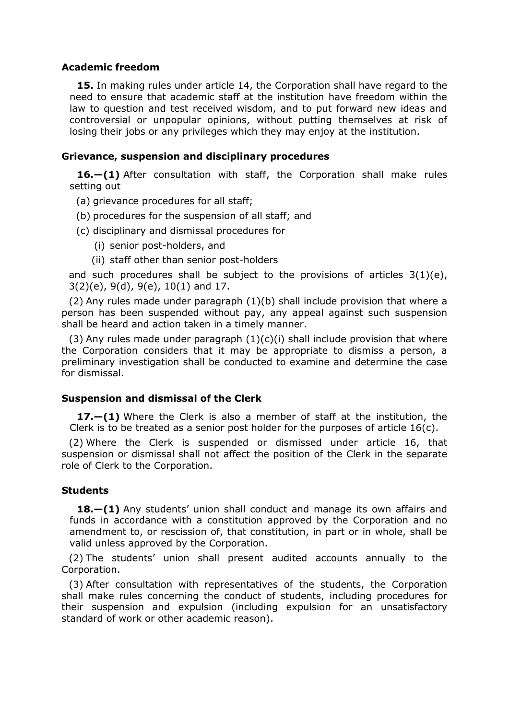# **Academic freedom**

**15.** In making rules under article 14, the Corporation shall have regard to the need to ensure that academic staff at the institution have freedom within the law to question and test received wisdom, and to put forward new ideas and controversial or unpopular opinions, without putting themselves at risk of losing their jobs or any privileges which they may enjoy at the institution.

# **Grievance, suspension and disciplinary procedures**

**16.—(1)** After consultation with staff, the Corporation shall make rules setting out

- (a) grievance procedures for all staff;
- (b) procedures for the suspension of all staff; and
- (c) disciplinary and dismissal procedures for
	- (i) senior post-holders, and
	- (ii) staff other than senior post-holders

and such procedures shall be subject to the provisions of articles 3(1)(e), 3(2)(e), 9(d), 9(e), 10(1) and 17.

(2) Any rules made under paragraph (1)(b) shall include provision that where a person has been suspended without pay, any appeal against such suspension shall be heard and action taken in a timely manner.

(3) Any rules made under paragraph  $(1)(c)(i)$  shall include provision that where the Corporation considers that it may be appropriate to dismiss a person, a preliminary investigation shall be conducted to examine and determine the case for dismissal.

# **Suspension and dismissal of the Clerk**

**17.—(1)** Where the Clerk is also a member of staff at the institution, the Clerk is to be treated as a senior post holder for the purposes of article 16(c).

(2) Where the Clerk is suspended or dismissed under article 16, that suspension or dismissal shall not affect the position of the Clerk in the separate role of Clerk to the Corporation.

# **Students**

**18.—(1)** Any students' union shall conduct and manage its own affairs and funds in accordance with a constitution approved by the Corporation and no amendment to, or rescission of, that constitution, in part or in whole, shall be valid unless approved by the Corporation.

(2) The students' union shall present audited accounts annually to the Corporation.

(3) After consultation with representatives of the students, the Corporation shall make rules concerning the conduct of students, including procedures for their suspension and expulsion (including expulsion for an unsatisfactory standard of work or other academic reason).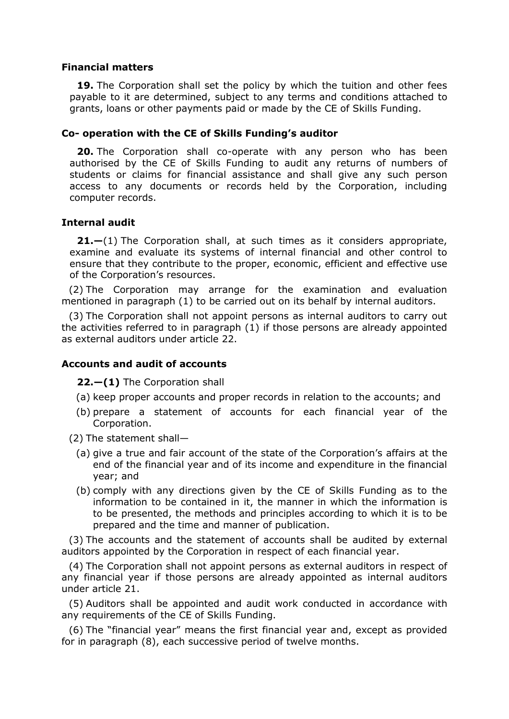# **Financial matters**

**19.** The Corporation shall set the policy by which the tuition and other fees payable to it are determined, subject to any terms and conditions attached to grants, loans or other payments paid or made by the CE of Skills Funding.

# **Co- operation with the CE of Skills Funding's auditor**

**20.** The Corporation shall co-operate with any person who has been authorised by the CE of Skills Funding to audit any returns of numbers of students or claims for financial assistance and shall give any such person access to any documents or records held by the Corporation, including computer records.

# **Internal audit**

**21.—**(1) The Corporation shall, at such times as it considers appropriate, examine and evaluate its systems of internal financial and other control to ensure that they contribute to the proper, economic, efficient and effective use of the Corporation's resources.

(2) The Corporation may arrange for the examination and evaluation mentioned in paragraph (1) to be carried out on its behalf by internal auditors.

(3) The Corporation shall not appoint persons as internal auditors to carry out the activities referred to in paragraph (1) if those persons are already appointed as external auditors under article 22.

# **Accounts and audit of accounts**

**22.—(1)** The Corporation shall

- (a) keep proper accounts and proper records in relation to the accounts; and
- (b) prepare a statement of accounts for each financial year of the Corporation.
- (2) The statement shall—
	- (a) give a true and fair account of the state of the Corporation's affairs at the end of the financial year and of its income and expenditure in the financial year; and
	- (b) comply with any directions given by the CE of Skills Funding as to the information to be contained in it, the manner in which the information is to be presented, the methods and principles according to which it is to be prepared and the time and manner of publication.

(3) The accounts and the statement of accounts shall be audited by external auditors appointed by the Corporation in respect of each financial year.

(4) The Corporation shall not appoint persons as external auditors in respect of any financial year if those persons are already appointed as internal auditors under article 21.

(5) Auditors shall be appointed and audit work conducted in accordance with any requirements of the CE of Skills Funding.

(6) The "financial year" means the first financial year and, except as provided for in paragraph (8), each successive period of twelve months.